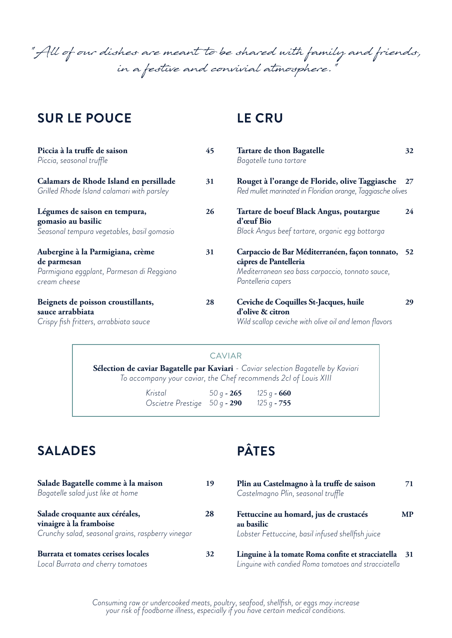"All of our dishes are meant to be shared with family and friends, in a festive and convivial atmosphere."

### **SUR LE POUCE**

## **LE CRU**

| Piccia à la truffe de saison<br>Piccia, seasonal truffle                                                     | 45 | Tartare de thon Bagatelle<br>Bagatelle tuna tartare                                                                                                  | 32 |
|--------------------------------------------------------------------------------------------------------------|----|------------------------------------------------------------------------------------------------------------------------------------------------------|----|
| Calamars de Rhode Island en persillade<br>Grilled Rhode Island calamari with parsley                         | 31 | Rouget à l'orange de Floride, olive Taggiasche 27<br>Red mullet marinated in Floridian orange, Taggiasche olives                                     |    |
| Légumes de saison en tempura,<br>gomasio au basilic<br>Seasonal tempura vegetables, basil gomasio            | 26 | Tartare de boeuf Black Angus, poutargue<br>d'œuf Bio<br>Black Angus beef tartare, organic egg bottarga                                               | 24 |
| Aubergine à la Parmigiana, crème<br>de parmesan<br>Parmigiana eggplant, Parmesan di Reggiano<br>cream cheese | 31 | Carpaccio de Bar Méditerranéen, façon tonnato, 52<br>câpres de Pantelleria<br>Mediterranean sea bass carpaccio, tonnato sauce,<br>Pantelleria capers |    |
| Beignets de poisson croustillants,<br>sauce arrabbiata<br>Crispy fish fritters, arrabbiata sauce             | 28 | Ceviche de Coquilles St-Jacques, huile<br>d'olive & citron<br>Wild scallop ceviche with olive oil and lemon flavors                                  | 29 |

#### CAVIAR

**Sélection de caviar Bagatelle par Kaviari** *- Caviar selection Bagatelle by Kaviari To accompany your caviar, the Chef recommends 2cl of Louis XIII*

> *Kristal 50 g* **- 265** *125 g* **- 660** *Oscietre Prestige 50 g* **- 290** *125 g* **- 755**

## **SALADES**

| Salade Bagatelle comme à la maison                | 19 |
|---------------------------------------------------|----|
| Bagatelle salad just like at home                 |    |
| Salade croquante aux céréales,                    | 28 |
| vinaigre à la framboise                           |    |
| Crunchy salad, seasonal grains, raspberry vinegar |    |
| Burrata et tomates cerises locales                |    |

*Local Burrata and cherry tomatoes*

# **PÂTES**

| 9 | Plin au Castelmagno à la truffe de saison<br>Castelmagno Plin, seasonal truffle                             | 71 |
|---|-------------------------------------------------------------------------------------------------------------|----|
| 8 | Fettuccine au homard, jus de crustacés<br>au basilic<br>Lobster Fettuccine, basil infused shellfish juice   | МP |
| 2 | Linguine à la tomate Roma confite et stracciatella<br>Linguine with candied Roma tomatoes and stracciatella | 31 |

*Consuming raw or undercooked meats, poultry, seafood, shellfish, or eggs may increase your risk of foodborne illness, especially if you have certain medical conditions.*